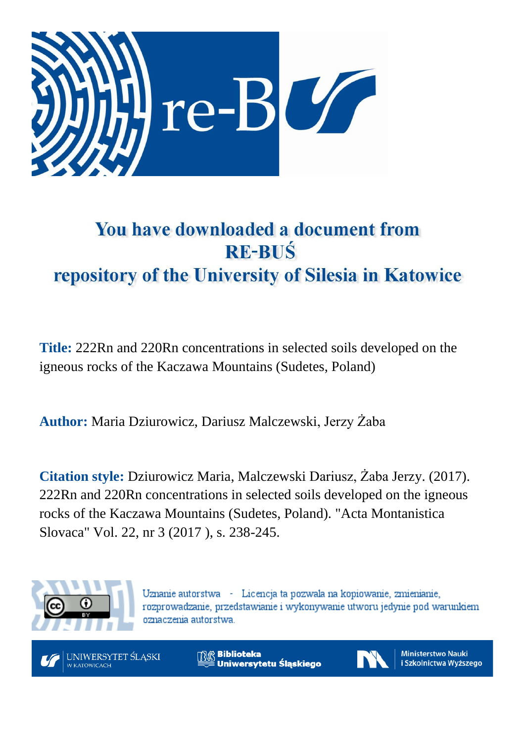

# You have downloaded a document from **RE-BUŚ** repository of the University of Silesia in Katowice

**Title:** 222Rn and 220Rn concentrations in selected soils developed on the igneous rocks of the Kaczawa Mountains (Sudetes, Poland)

**Author:** Maria Dziurowicz, Dariusz Malczewski, Jerzy Żaba

**Citation style:** Dziurowicz Maria, Malczewski Dariusz, Żaba Jerzy. (2017). 222Rn and 220Rn concentrations in selected soils developed on the igneous rocks of the Kaczawa Mountains (Sudetes, Poland). "Acta Montanistica Slovaca" Vol. 22, nr 3 (2017 ), s. 238-245.



Uznanie autorstwa - Licencja ta pozwala na kopiowanie, zmienianie, rozprowadzanie, przedstawianie i wykonywanie utworu jedynie pod warunkiem oznaczenia autorstwa.



**Biblioteka** Uniwersytetu Śląskiego



**Ministerstwo Nauki** i Szkolnictwa Wyższego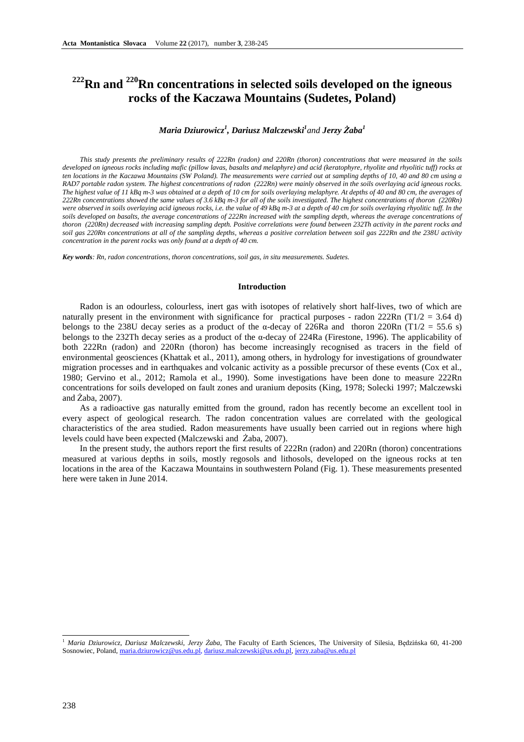# **<sup>222</sup>Rn and <sup>220</sup>Rn concentrations in selected soils developed on the igneous rocks of the Kaczawa Mountains (Sudetes, Poland)**

# *Maria Dziurowicz<sup>1</sup> , Dariusz Malczewski<sup>1</sup> and Jerzy Żaba<sup>1</sup>*

*This study presents the preliminary results of 222Rn (radon) and 220Rn (thoron) concentrations that were measured in the soils developed on igneous rocks including mafic (pillow lavas, basalts and melaphyre) and acid (keratophyre, rhyolite and rhyolitic tuff) rocks at ten locations in the Kaczawa Mountains (SW Poland). The measurements were carried out at sampling depths of 10, 40 and 80 cm using a RAD7 portable radon system. The highest concentrations of radon (222Rn) were mainly observed in the soils overlaying acid igneous rocks. The highest value of 11 kBq m-3 was obtained at a depth of 10 cm for soils overlaying melaphyre. At depths of 40 and 80 cm, the averages of 222Rn concentrations showed the same values of 3.6 kBq m-3 for all of the soils investigated. The highest concentrations of thoron (220Rn) were observed in soils overlaying acid igneous rocks, i.e. the value of 49 kBq m-3 at a depth of 40 cm for soils overlaying rhyolitic tuff. In the soils developed on basalts, the average concentrations of 222Rn increased with the sampling depth, whereas the average concentrations of thoron (220Rn) decreased with increasing sampling depth. Positive correlations were found between 232Th activity in the parent rocks and soil gas 220Rn concentrations at all of the sampling depths, whereas a positive correlation between soil gas 222Rn and the 238U activity concentration in the parent rocks was only found at a depth of 40 cm.* 

*Key words: Rn, radon concentrations, thoron concentrations, soil gas, in situ measurements. Sudetes.* 

#### **Introduction**

Radon is an odourless, colourless, inert gas with isotopes of relatively short half-lives, two of which are naturally present in the environment with significance for practical purposes - radon 222Rn (T1/2 = 3.64 d) belongs to the 238U decay series as a product of the  $\alpha$ -decay of 226Ra and thoron 220Rn (T1/2 = 55.6 s) belongs to the 232Th decay series as a product of the α-decay of 224Ra (Firestone, 1996). The applicability of both 222Rn (radon) and 220Rn (thoron) has become increasingly recognised as tracers in the field of environmental geosciences (Khattak et al., 2011), among others, in hydrology for investigations of groundwater migration processes and in earthquakes and volcanic activity as a possible precursor of these events (Cox et al., 1980; Gervino et al., 2012; Ramola et al., 1990). Some investigations have been done to measure 222Rn concentrations for soils developed on fault zones and uranium deposits (King, 1978; Solecki 1997; Malczewski and Żaba, 2007).

As a radioactive gas naturally emitted from the ground, radon has recently become an excellent tool in every aspect of geological research. The radon concentration values are correlated with the geological characteristics of the area studied. Radon measurements have usually been carried out in regions where high levels could have been expected (Malczewski and Żaba, 2007).

In the present study, the authors report the first results of 222Rn (radon) and 220Rn (thoron) concentrations measured at various depths in soils, mostly regosols and lithosols, developed on the igneous rocks at ten locations in the area of the Kaczawa Mountains in southwestern Poland (Fig. 1). These measurements presented here were taken in June 2014.

<sup>1</sup>  *Maria Dziurowicz, Dariusz Malczewski, Jerzy Żaba*, The Faculty of Earth Sciences, The University of Silesia, Będzińska 60, 41-200 Sosnowiec, Poland, maria.dziurowicz@us.edu.pl, dariusz.malczewski@us.edu.pl, jerzy.zaba@us.edu.pl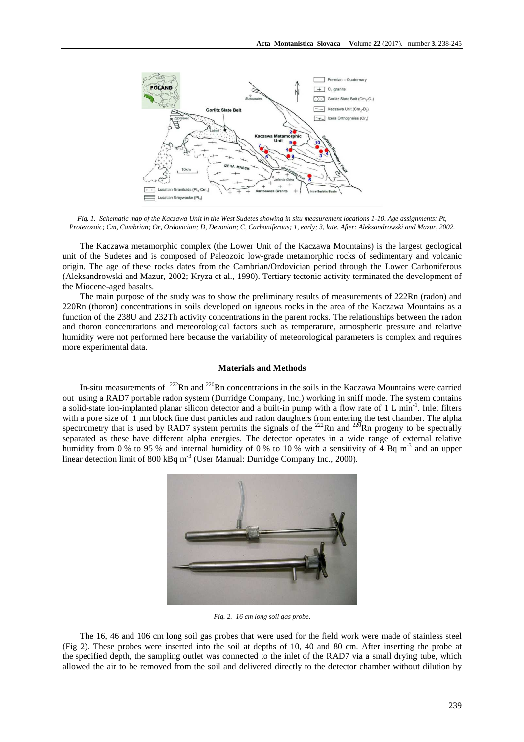

*Fig. 1. Schematic map of the Kaczawa Unit in the West Sudetes showing in situ measurement locations 1-10. Age assignments: Pt, Proterozoic; Cm, Cambrian; Or, Ordovician; D, Devonian; C, Carboniferous; 1, early; 3, late. After: Aleksandrowski and Mazur, 2002.* 

The Kaczawa metamorphic complex (the Lower Unit of the Kaczawa Mountains) is the largest geological unit of the Sudetes and is composed of Paleozoic low-grade metamorphic rocks of sedimentary and volcanic origin. The age of these rocks dates from the Cambrian/Ordovician period through the Lower Carboniferous (Aleksandrowski and Mazur, 2002; Kryza et al., 1990). Tertiary tectonic activity terminated the development of the Miocene-aged basalts.

The main purpose of the study was to show the preliminary results of measurements of 222Rn (radon) and 220Rn (thoron) concentrations in soils developed on igneous rocks in the area of the Kaczawa Mountains as a function of the 238U and 232Th activity concentrations in the parent rocks. The relationships between the radon and thoron concentrations and meteorological factors such as temperature, atmospheric pressure and relative humidity were not performed here because the variability of meteorological parameters is complex and requires more experimental data.

#### **Materials and Methods**

In-situ measurements of  $^{222}$ Rn and  $^{220}$ Rn concentrations in the soils in the Kaczawa Mountains were carried out using a RAD7 portable radon system (Durridge Company, Inc.) working in sniff mode. The system contains a solid-state ion-implanted planar silicon detector and a built-in pump with a flow rate of 1 L min<sup>-1</sup>. Inlet filters with a pore size of 1 µm block fine dust particles and radon daughters from entering the test chamber. The alpha spectrometry that is used by RAD7 system permits the signals of the  $^{222}$ Rn and  $^{220}$ Rn progeny to be spectrally separated as these have different alpha energies. The detector operates in a wide range of external relative humidity from 0 % to 95 % and internal humidity of 0 % to 10 % with a sensitivity of 4 Bq m<sup>-3</sup> and an upper linear detection limit of 800 kBq m<sup>-3</sup> (User Manual: Durridge Company Inc., 2000).



*Fig. 2. 16 cm long soil gas probe.* 

The 16, 46 and 106 cm long soil gas probes that were used for the field work were made of stainless steel (Fig 2). These probes were inserted into the soil at depths of 10, 40 and 80 cm. After inserting the probe at the specified depth, the sampling outlet was connected to the inlet of the RAD7 via a small drying tube, which allowed the air to be removed from the soil and delivered directly to the detector chamber without dilution by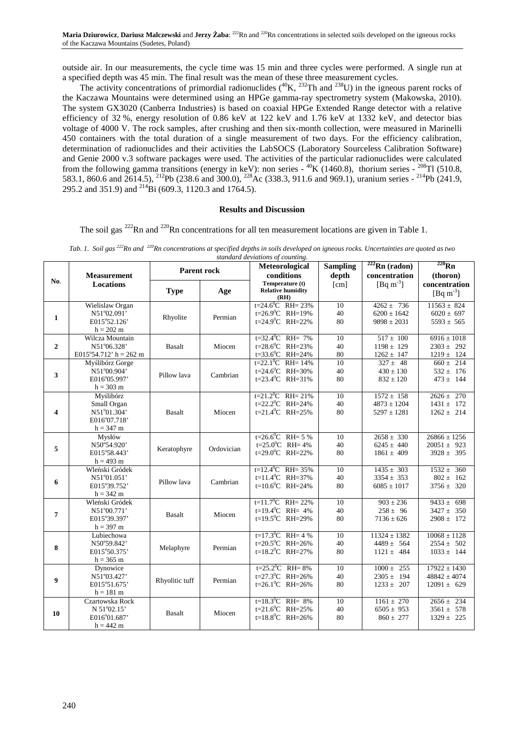outside air. In our measurements, the cycle time was 15 min and three cycles were performed. A single run at a specified depth was 45 min. The final result was the mean of these three measurement cycles.

The activity concentrations of primordial radionuclides  $(^{40}K, ^{232}Th$  and  $^{238}U$ ) in the igneous parent rocks of the Kaczawa Mountains were determined using an HPGe gamma-ray spectrometry system (Makowska, 2010). The system GX3020 (Canberra Industries) is based on coaxial HPGe Extended Range detector with a relative efficiency of 32 %, energy resolution of 0.86 keV at 122 keV and 1.76 keV at 1332 keV, and detector bias voltage of 4000 V. The rock samples, after crushing and then six-month collection, were measured in Marinelli 450 containers with the total duration of a single measurement of two days. For the efficiency calibration, determination of radionuclides and their activities the LabSOCS (Laboratory Sourceless Calibration Software) and Genie 2000 v.3 software packages were used. The activities of the particular radionuclides were calculated from the following gamma transitions (energy in keV): non series -  ${}^{40}$ K (1460.8), thorium series -  ${}^{208}$ Tl (510.8, 583.1, 860.6 and 2614.5), <sup>212</sup>Pb (238.6 and 300.0), <sup>228</sup>Ac (338.3, 911.6 and 969.1), uranium series - <sup>214</sup>Pb (241.9, 295.2 and 351.9) and <sup>214</sup>Bi (609.3, 1120.3 and 1764.5).

#### **Results and Discussion**

The soil gas  $^{222}$ Rn and  $^{220}$ Rn concentrations for all ten measurement locations are given in Table 1.

|  | Tab. 1. Soil gas <sup>222</sup> Rn and <sup>220</sup> Rn concentrations at specified depths in soils developed on igneous rocks. Uncertainties are quoted as two |  |
|--|------------------------------------------------------------------------------------------------------------------------------------------------------------------|--|
|  | standard deviations of counting.                                                                                                                                 |  |

|                | <b>Measurement</b>                                                             | <b>Parent rock</b> |            | <b>Meteorological</b><br>conditions                                                  | <b>Sampling</b><br>depth | $222$ Rn (radon)<br>concentration                    | $220$ Rn<br>(thoron)                                    |
|----------------|--------------------------------------------------------------------------------|--------------------|------------|--------------------------------------------------------------------------------------|--------------------------|------------------------------------------------------|---------------------------------------------------------|
| No.            | <b>Locations</b>                                                               | <b>Type</b>        | Age        | Temperature (t)<br><b>Relative humidity</b><br>(RH)                                  | [cm]                     | [Bq m <sup>-3</sup> ]                                | concentration<br>[Bq m <sup>-3</sup> ]                  |
| $\mathbf{1}$   | Wielislaw Organ<br>N51°02.091'<br>E015°52.126'<br>$h = 202 \text{ m}$          | Rhyolite           | Permian    | $t=24.6^{\circ}$ C RH= 23%<br>t=26.9°C RH=19%<br>$t=24.9^{\circ}C$ RH=22%            | 10<br>40<br>80           | $4262 \pm 736$<br>$6200 \pm 1642$<br>$9898 \pm 2031$ | $11563 \pm 824$<br>$6020 \pm 697$<br>$5593 \pm 565$     |
| $\overline{2}$ | Wilcza Mountain<br>N51°06.328'<br>E015°54.712' h = 262 m                       | <b>Basalt</b>      | Miocen     | $t=32.4^{\circ}$ C RH= 7%<br>$t=28.6^{\circ}$ C RH=23%<br>t=33.6 $^0$ C RH=24%       | 10<br>40<br>80           | $517 \pm 100$<br>$1198 \pm 129$<br>$1262 \pm 147$    | $6916 \pm 1018$<br>$2303 \pm 292$<br>$1219 \pm\ 124$    |
| 3              | Myślibórz Gorge<br>N51°00.904'<br>E016°05.997'<br>$h = 303$ m                  | Pillow lava        | Cambrian   | $t=22.1^{\circ}$ C RH= 14%<br>t=24.6 $^0$ C RH=30%<br>$t=23.4^{\circ}C$ RH=31%       | 10<br>40<br>80           | $327 \pm 48$<br>$430 \pm 130$<br>$832 \pm 120$       | $660 \pm 214$<br>$532 \pm 176$<br>$473 \pm 144$         |
| 4              | Myślibórz<br>Small Organ<br>N51°01.304'<br>E016°07.718'<br>$h = 347 \text{ m}$ | <b>Basalt</b>      | Miocen     | $t=21.2$ <sup>o</sup> C RH= 21%<br>t=22.2 $^0$ C RH=24%<br>$t=21.4^{\circ}$ C RH=25% | 10<br>40<br>80           | $1572 \pm 158$<br>$4873 \pm 1204$<br>$5297 \pm 1281$ | $2626 \pm 270$<br>$1431 \pm 172$<br>$1262 \pm 214$      |
| 5              | Mysłów<br>N50°54.920'<br>E015°58.443'<br>$h = 493$ m                           | Keratophyre        | Ordovician | $t=26.6^{\circ}$ C RH= 5 %<br>$t=25.0^{\circ}$ C RH= 4%<br>t=29.0 $^0$ C RH=22%      | 10<br>40<br>80           | $2658 \pm 330$<br>$6245 \pm 440$<br>$1861 \pm 409$   | $26866 \pm 1256$<br>$20051 \pm 923$<br>$3928 \pm 395$   |
| 6              | Wleński Gródek<br>N51°01.051'<br>E015°39.752'<br>$h = 342 \text{ m}$           | Pillow lava        | Cambrian   | $t=12.4^{\circ}$ C RH= 35%<br>$t=11.4^0C$ RH=37%<br>t= $10.6^{\circ}$ C RH= $24\%$   | 10<br>40<br>80           | $1435 \pm 303$<br>$3354 \pm 353$<br>$6085 \pm 1017$  | $1532 \pm 360$<br>$802 \pm 162$<br>$3756 \pm 320$       |
| 7              | Wleński Gródek<br>N51°00.771'<br>E015°39.397'<br>$h = 397 \text{ m}$           | <b>Basalt</b>      | Miocen     | $t=11.7^{\circ}$ C RH= 22%<br>t=19.4 $^0$ C RH= 4%<br>$t=19.5^0C$ RH=29%             | 10<br>40<br>80           | $903 \pm 236$<br>$258 \pm 96$<br>$7136 \pm 626$      | $9433 \pm 698$<br>$3427 \pm 350$<br>$2908 \pm 172$      |
| 8              | Lubiechowa<br>N50°59.842'<br>E015°50.375'<br>$h = 365$ m                       | Melaphyre          | Permian    | $t=17.3^{\circ}C$ RH= 4 %<br>$t=20.5^{\circ}C$ RH=26%<br>t=18.2 $^0$ C RH=27%        | 10<br>40<br>80           | $11324 \pm 1382$<br>$4489 \pm 564$<br>$1121 \pm 484$ | $10068 \pm 1128$<br>$2554 \pm 502$<br>$1033 \pm 144$    |
| 9              | Dynowice<br>N51°03.427'<br>E015°51.675'<br>$h = 181 \text{ m}$                 | Rhyolitic tuff     | Permian    | $t=25.2$ <sup>o</sup> C RH= 8%<br>t=27.3 $^0C$ RH=26%<br>t=26.1 $^0$ C RH=26%        | 10<br>40<br>80           | $1000 \pm 255$<br>$2305 \pm 194$<br>$1233 \pm 207$   | $17922 \pm 1430$<br>$48842 \pm 4074$<br>$12091 \pm 629$ |
| 10             | Czartowska Rock<br>N 51°02.15'<br>E016°01.687'<br>$h = 442 \text{ m}$          | <b>Basalt</b>      | Miocen     | t=18.3 $^0C$ RH= 8%<br>$t=21.6^{\circ}$ C RH=25%<br>t=18.8 $^0$ C RH=26%             | 10<br>40<br>80           | $1161 \pm 270$<br>$6505 \pm 953$<br>$860 \pm 277$    | $2656 \pm 234$<br>$3561 \pm 578$<br>$1329 \pm 225$      |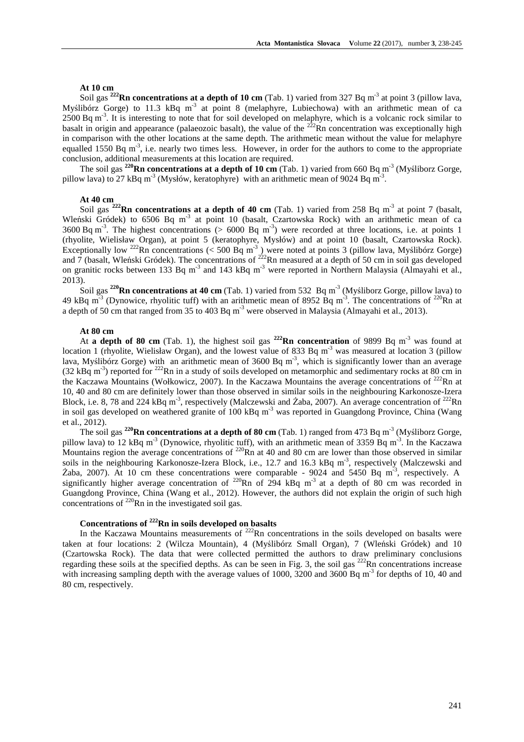#### **At 10 cm**

Soil gas <sup>222</sup>**Rn concentrations at a depth of 10 cm** (Tab. 1) varied from 327 Bq m<sup>-3</sup> at point 3 (pillow lava, Myślibórz Gorge) to 11.3 kBq m<sup>-3</sup> at point 8 (melaphyre, Lubiechowa) with an arithmetic mean of ca  $2500$  Bq m<sup>-3</sup>. It is interesting to note that for soil developed on melaphyre, which is a volcanic rock similar to basalt in origin and appearance (palaeozoic basalt), the value of the  $222$ Rn concentration was exceptionally high in comparison with the other locations at the same depth. The arithmetic mean without the value for melaphyre equalled 1550 Bq m<sup>-3</sup>, i.e. nearly two times less. However, in order for the authors to come to the appropriate conclusion, additional measurements at this location are required.

The soil gas <sup>220</sup>**Rn concentrations at a depth of 10 cm** (Tab. 1) varied from 660 Bq m<sup>-3</sup> (Myśliborz Gorge, pillow lava) to 27 kBq m<sup>-3</sup> (Mysłów, keratophyre) with an arithmetic mean of 9024 Bq m<sup>-3</sup>.

#### **At 40 cm**

Soil gas <sup>222</sup>**Rn concentrations at a depth of 40 cm** (Tab. 1) varied from 258 Bq m<sup>-3</sup> at point 7 (basalt, Wleński Gródek) to 6506 Bq m<sup>-3</sup> at point 10 (basalt, Czartowska Rock) with an arithmetic mean of ca 3600 Bq m<sup>-3</sup>. The highest concentrations ( $> 6000$  Bq m<sup>-3</sup>) were recorded at three locations, i.e. at points 1 (rhyolite, Wielisław Organ), at point 5 (keratophyre, Mysłów) and at point 10 (basalt, Czartowska Rock). Exceptionally low <sup>222</sup>Rn concentrations (< 500 Bq m<sup>-3</sup>) were noted at points 3 (pillow lava, Myślibórz Gorge) and 7 (basalt, Wleński Gródek). The concentrations of  $^{222}$ Rn measured at a depth of 50 cm in soil gas developed on granitic rocks between 133 Bq m<sup>-3</sup> and 143 kBq m<sup>-3</sup> were reported in Northern Malaysia (Almayahi et al., 2013).

Soil gas **<sup>220</sup>Rn concentrations at 40 cm** (Tab. 1) varied from 532 Bq m-3 (Myśliborz Gorge, pillow lava) to 49 kBq m<sup>-3</sup> (Dynowice, rhyolitic tuff) with an arithmetic mean of 8952 Bq m<sup>-3</sup>. The concentrations of <sup>220</sup>Rn at a depth of 50 cm that ranged from 35 to 403 Bq m<sup>-3</sup> were observed in Malaysia (Almayahi et al., 2013).

## **At 80 cm**

At **a depth of 80 cm** (Tab. 1), the highest soil gas **<sup>222</sup>Rn concentration** of 9899 Bq m-3 was found at location 1 (rhyolite, Wielisław Organ), and the lowest value of 833 Bq m<sup>-3</sup> was measured at location 3 (pillow lava, Myślibórz Gorge) with an arithmetic mean of 3600 Bq m<sup>-3</sup>, which is significantly lower than an average (32 kBq m-3) reported for <sup>222</sup>Rn in a study of soils developed on metamorphic and sedimentary rocks at 80 cm in the Kaczawa Mountains (Wołkowicz, 2007). In the Kaczawa Mountains the average concentrations of  $^{222}$ Rn at 10, 40 and 80 cm are definitely lower than those observed in similar soils in the neighbouring Karkonosze-Izera Block, i.e. 8, 78 and 224 kBq m<sup>-3</sup>, respectively (Malczewski and Żaba, 2007). An average concentration of <sup>222</sup>Rn in soil gas developed on weathered granite of 100 kBq m<sup>-3</sup> was reported in Guangdong Province, China (Wang et al., 2012).

The soil gas **<sup>220</sup>Rn concentrations at a depth of 80 cm** (Tab. 1) ranged from 473 Bq m-3 (Myśliborz Gorge, pillow lava) to 12 kBq m<sup>-3</sup> (Dynowice, rhyolitic tuff), with an arithmetic mean of 3359 Bq m<sup>-3</sup>. In the Kaczawa Mountains region the average concentrations of <sup>220</sup>Rn at 40 and 80 cm are lower than those observed in similar soils in the neighbouring Karkonosze-Izera Block, i.e., 12.7 and 16.3 kBq m<sup>-3</sup>, respectively (Malczewski and Żaba, 2007). At 10 cm these concentrations were comparable - 9024 and 5450 Bq m<sup>-3</sup>, respectively. A significantly higher average concentration of  $^{220}$ Rn of 294 kBq m<sup>-3</sup> at a depth of 80 cm was recorded in Guangdong Province, China (Wang et al., 2012). However, the authors did not explain the origin of such high concentrations of  $^{220}$ Rn in the investigated soil gas.

# **Concentrations of <sup>222</sup>Rn in soils developed on basalts**

In the Kaczawa Mountains measurements of  $222$ Rn concentrations in the soils developed on basalts were taken at four locations: 2 (Wilcza Mountain), 4 (Myślibórz Small Organ), 7 (Wleński Gródek) and 10 (Czartowska Rock). The data that were collected permitted the authors to draw preliminary conclusions regarding these soils at the specified depths. As can be seen in Fig. 3, the soil gas  $^{222}$ Rn concentrations increase with increasing sampling depth with the average values of 1000, 3200 and 3600 Bq m<sup>-3</sup> for depths of 10, 40 and 80 cm, respectively.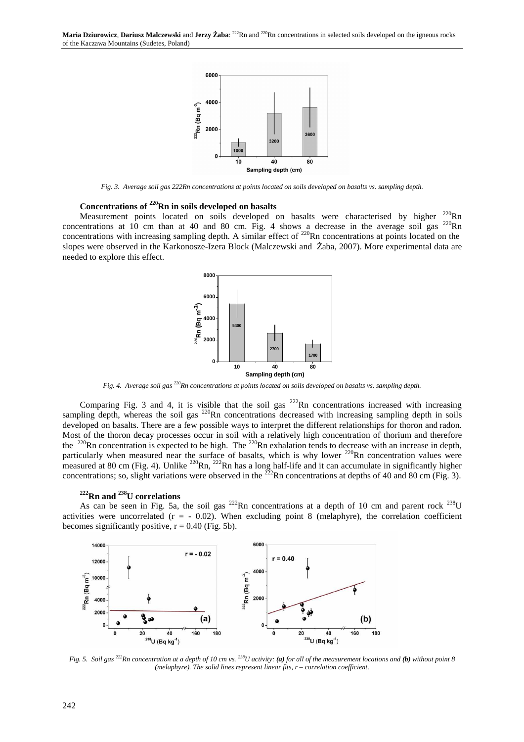

*Fig. 3. Average soil gas 222Rn concentrations at points located on soils developed on basalts vs. sampling depth.* 

# **Concentrations of <sup>220</sup>Rn in soils developed on basalts**

Measurement points located on soils developed on basalts were characterised by higher <sup>220</sup>Rn concentrations at  $10$  cm than at  $40$  and  $80$  cm. Fig. 4 shows a decrease in the average soil gas  $^{220}$ Rn concentrations with increasing sampling depth. A similar effect of  $^{220}$ Rn concentrations at points located on the slopes were observed in the Karkonosze-Izera Block (Malczewski and Żaba, 2007). More experimental data are needed to explore this effect.



*Fig. 4. Average soil gas <sup>220</sup>Rn concentrations at points located on soils developed on basalts vs. sampling depth.* 

Comparing Fig. 3 and 4, it is visible that the soil gas  $^{222}$ Rn concentrations increased with increasing sampling depth, whereas the soil gas  $^{220}$ Rn concentrations decreased with increasing sampling depth in soils developed on basalts. There are a few possible ways to interpret the different relationships for thoron and radon. Most of the thoron decay processes occur in soil with a relatively high concentration of thorium and therefore the  $^{220}$ Rn concentration is expected to be high. The  $^{220}$ Rn exhalation tends to decrease with an increase in depth, particularly when measured near the surface of basalts, which is why lower <sup>220</sup>Rn concentration values were measured at 80 cm (Fig. 4). Unlike  $^{220}$ Rn,  $^{222}$ Rn has a long half-life and it can accumulate in significantly higher concentrations; so, slight variations were observed in the  $^{222}$ Rn concentrations at depths of 40 and 80 cm (Fig. 3).

## **<sup>222</sup>Rn and <sup>238</sup>U correlations**

As can be seen in Fig. 5a, the soil gas  $^{222}$ Rn concentrations at a depth of 10 cm and parent rock  $^{238}$ U activities were uncorrelated  $(r = -0.02)$ . When excluding point 8 (melaphyre), the correlation coefficient becomes significantly positive,  $r = 0.40$  (Fig. 5b).



*Fig. 5. Soil gas <sup>222</sup>Rn concentration at a depth of 10 cm vs. <sup>238</sup>U activity: (a) for all of the measurement locations and (b) without point 8 (melaphyre). The solid lines represent linear fits, r – correlation coefficient.*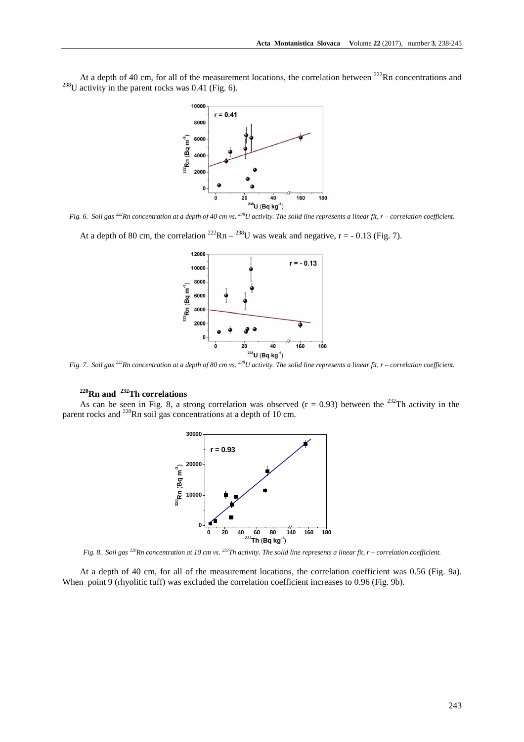At a depth of 40 cm, for all of the measurement locations, the correlation between  $^{222}$ Rn concentrations and  $^{238}$ U activity in the parent rocks was 0.41 (Fig. 6).



*Fig. 6. Soil gas <sup>222</sup>Rn concentration at a depth of 40 cm vs. <sup>238</sup>U activity. The solid line represents a linear fit, r – correlation coefficient.* 

At a depth of 80 cm, the correlation  $^{222}$ Rn –  $^{238}$ U was weak and negative, r = - 0.13 (Fig. 7).



*Fig. 7. Soil gas <sup>222</sup>Rn concentration at a depth of 80 cm vs. <sup>238</sup>U activity. The solid line represents a linear fit, r – correlation coefficient.* 

# **<sup>220</sup>Rn and <sup>232</sup>Th correlations**

As can be seen in Fig. 8, a strong correlation was observed  $(r = 0.93)$  between the <sup>232</sup>Th activity in the parent rocks and  $^{220}$ Rn soil gas concentrations at a depth of 10 cm.



*Fig. 8. Soil gas <sup>220</sup>Rn concentration at 10 cm vs. <sup>232</sup>Th activity. The solid line represents a linear fit, r – correlation coefficient.* 

At a depth of 40 cm, for all of the measurement locations, the correlation coefficient was 0.56 (Fig. 9a). When point 9 (rhyolitic tuff) was excluded the correlation coefficient increases to 0.96 (Fig. 9b).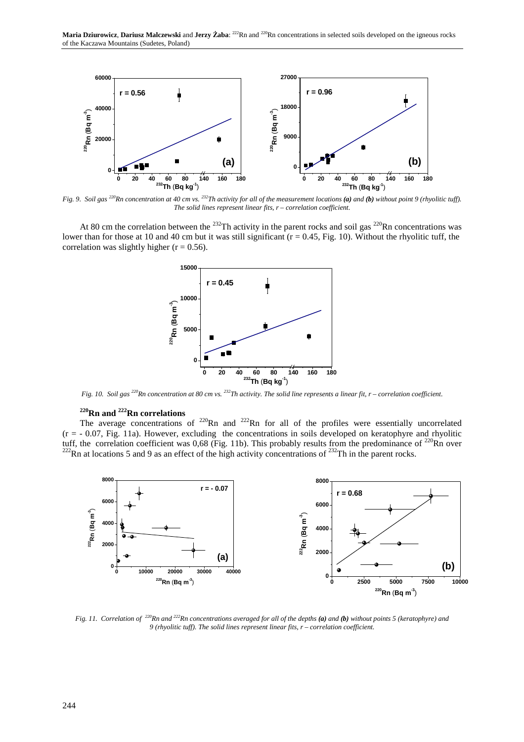

*Fig. 9. Soil gas <sup>220</sup>Rn concentration at 40 cm vs. <sup>232</sup>Th activity for all of the measurement locations (a) and (b) without point 9 (rhyolitic tuff). The solid lines represent linear fits, r – correlation coefficient.* 

At 80 cm the correlation between the <sup>232</sup>Th activity in the parent rocks and soil gas <sup>220</sup>Rn concentrations was lower than for those at 10 and 40 cm but it was still significant  $(r = 0.45,$  Fig. 10). Without the rhyolitic tuff, the correlation was slightly higher  $(r = 0.56)$ .



*Fig. 10. Soil gas <sup>220</sup>Rn concentration at 80 cm vs. <sup>232</sup>Th activity. The solid line represents a linear fit, r – correlation coefficient.* 

# **<sup>220</sup>Rn and <sup>222</sup>Rn correlations**

The average concentrations of <sup>220</sup>Rn and <sup>222</sup>Rn for all of the profiles were essentially uncorrelated  $(r = -0.07, Fig. 11a)$ . However, excluding the concentrations in soils developed on keratophyre and rhyolitic tuff, the correlation coefficient was  $0.68$  (Fig. 11b). This probably results from the predominance of  $^{220}$ Rn over  $^{222}$ Rn at locations 5 and 9 as an effect of the high activity concentrations of  $^{232}$ Th in the parent rocks.



*Fig. 11. Correlation of <sup>220</sup><i>Rn and* <sup>222</sup>*Rn concentrations averaged for all of the depths (a) and (b) without points 5 (keratophyre) and 9 (rhyolitic tuff). The solid lines represent linear fits, r – correlation coefficient.*